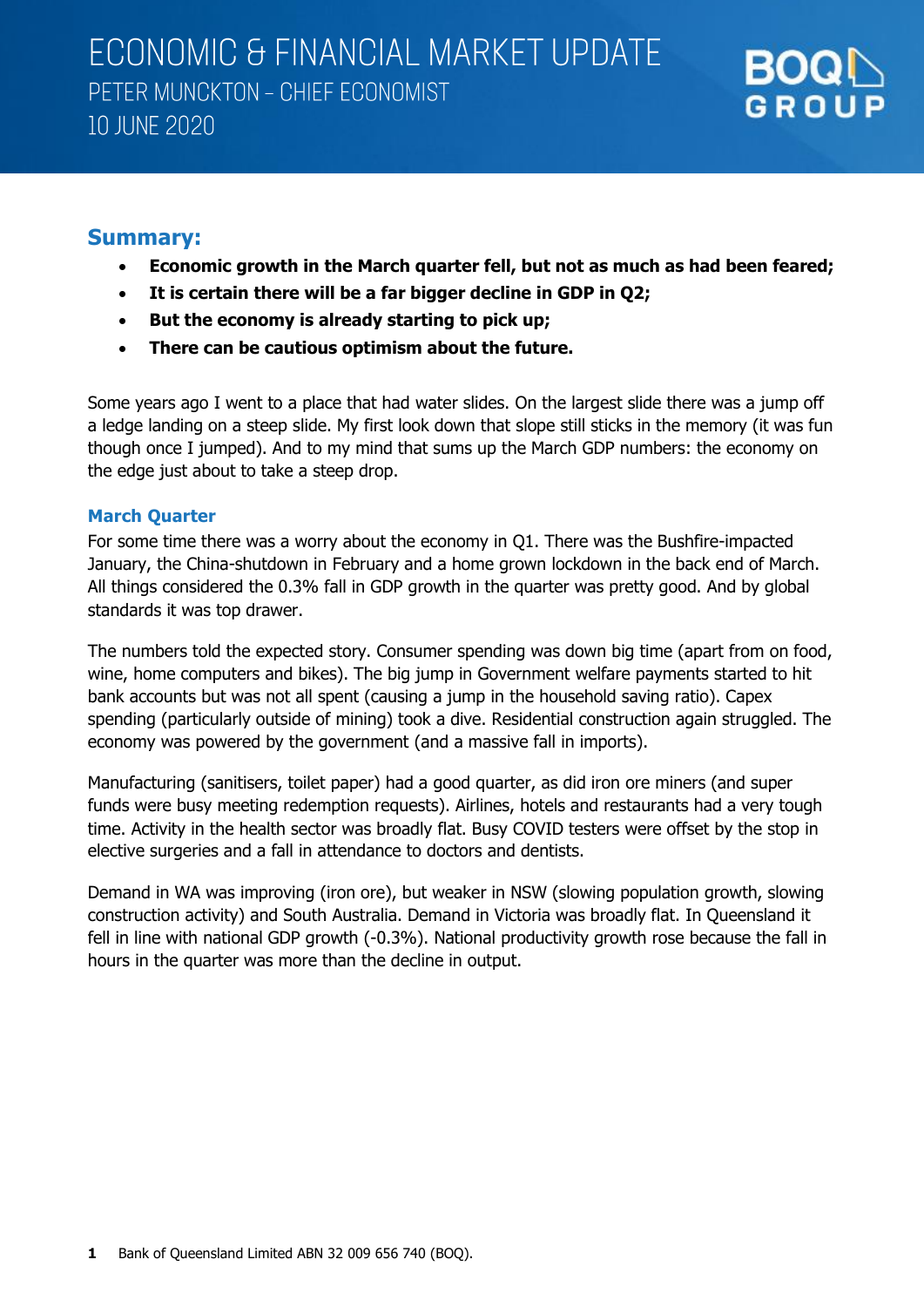

### **Summary:**

- **Economic growth in the March quarter fell, but not as much as had been feared;**
- **It is certain there will be a far bigger decline in GDP in Q2;**
- **But the economy is already starting to pick up;**
- **There can be cautious optimism about the future.**

Some years ago I went to a place that had water slides. On the largest slide there was a jump off a ledge landing on a steep slide. My first look down that slope still sticks in the memory (it was fun though once I jumped). And to my mind that sums up the March GDP numbers: the economy on the edge just about to take a steep drop.

### **March Quarter**

For some time there was a worry about the economy in Q1. There was the Bushfire-impacted January, the China-shutdown in February and a home grown lockdown in the back end of March. All things considered the 0.3% fall in GDP growth in the quarter was pretty good. And by global standards it was top drawer.

The numbers told the expected story. Consumer spending was down big time (apart from on food, wine, home computers and bikes). The big jump in Government welfare payments started to hit bank accounts but was not all spent (causing a jump in the household saving ratio). Capex spending (particularly outside of mining) took a dive. Residential construction again struggled. The economy was powered by the government (and a massive fall in imports).

Manufacturing (sanitisers, toilet paper) had a good quarter, as did iron ore miners (and super funds were busy meeting redemption requests). Airlines, hotels and restaurants had a very tough time. Activity in the health sector was broadly flat. Busy COVID testers were offset by the stop in elective surgeries and a fall in attendance to doctors and dentists.

Demand in WA was improving (iron ore), but weaker in NSW (slowing population growth, slowing construction activity) and South Australia. Demand in Victoria was broadly flat. In Queensland it fell in line with national GDP growth (-0.3%). National productivity growth rose because the fall in hours in the quarter was more than the decline in output.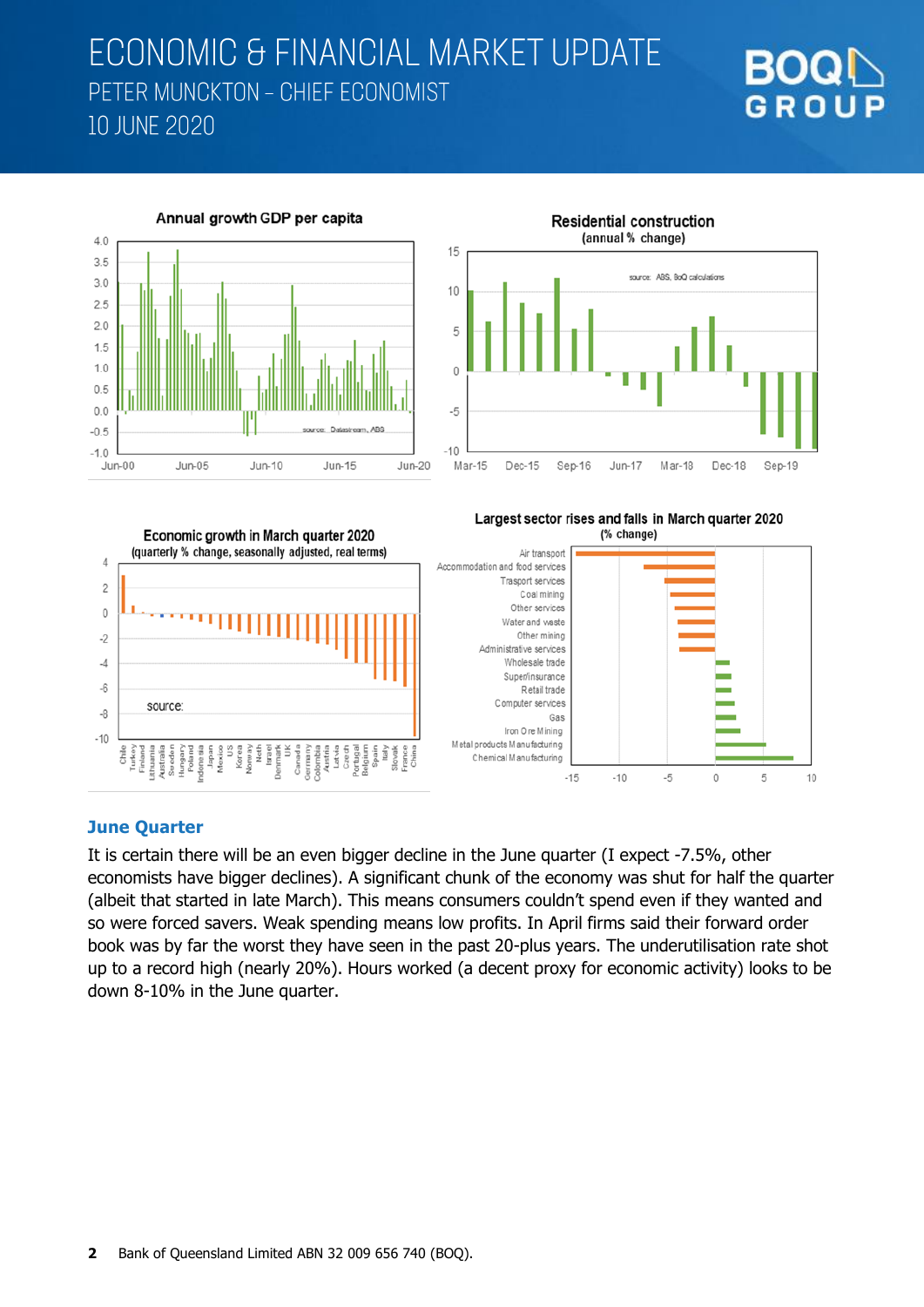





### **June Quarter**

It is certain there will be an even bigger decline in the June quarter (I expect -7.5%, other economists have bigger declines). A significant chunk of the economy was shut for half the quarter (albeit that started in late March). This means consumers couldn't spend even if they wanted and so were forced savers. Weak spending means low profits. In April firms said their forward order book was by far the worst they have seen in the past 20-plus years. The underutilisation rate shot up to a record high (nearly 20%). Hours worked (a decent proxy for economic activity) looks to be down 8-10% in the June quarter.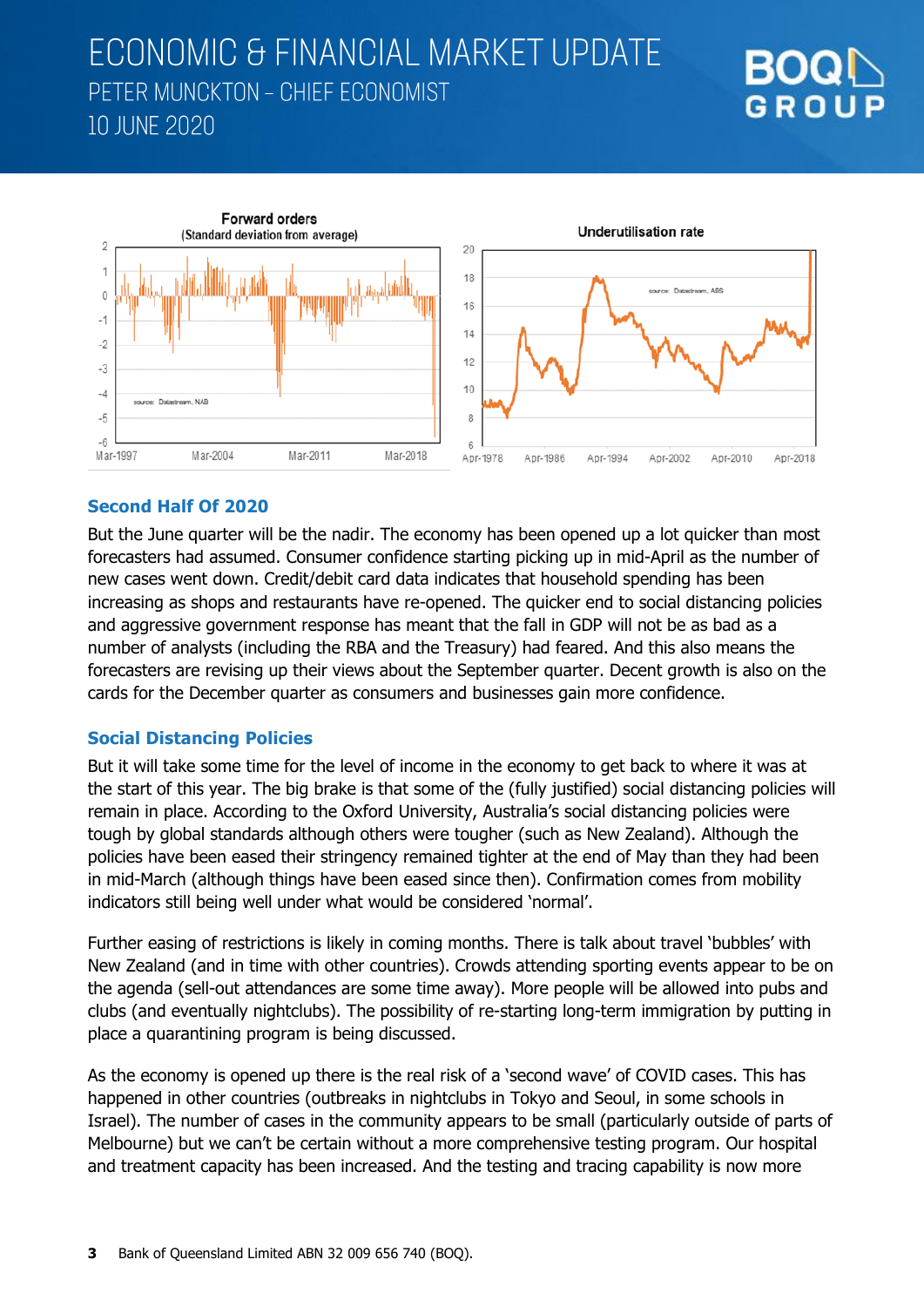



### **Second Half Of 2020**

But the June quarter will be the nadir. The economy has been opened up a lot quicker than most forecasters had assumed. Consumer confidence starting picking up in mid-April as the number of new cases went down. Credit/debit card data indicates that household spending has been increasing as shops and restaurants have re-opened. The quicker end to social distancing policies and aggressive government response has meant that the fall in GDP will not be as bad as a number of analysts (including the RBA and the Treasury) had feared. And this also means the forecasters are revising up their views about the September quarter. Decent growth is also on the cards for the December quarter as consumers and businesses gain more confidence.

#### **Social Distancing Policies**

But it will take some time for the level of income in the economy to get back to where it was at the start of this year. The big brake is that some of the (fully justified) social distancing policies will remain in place. According to the Oxford University, Australia's social distancing policies were tough by global standards although others were tougher (such as New Zealand). Although the policies have been eased their stringency remained tighter at the end of May than they had been in mid-March (although things have been eased since then). Confirmation comes from mobility indicators still being well under what would be considered 'normal'.

Further easing of restrictions is likely in coming months. There is talk about travel 'bubbles' with New Zealand (and in time with other countries). Crowds attending sporting events appear to be on the agenda (sell-out attendances are some time away). More people will be allowed into pubs and clubs (and eventually nightclubs). The possibility of re-starting long-term immigration by putting in place a quarantining program is being discussed.

As the economy is opened up there is the real risk of a 'second wave' of COVID cases. This has happened in other countries (outbreaks in nightclubs in Tokyo and Seoul, in some schools in Israel). The number of cases in the community appears to be small (particularly outside of parts of Melbourne) but we can't be certain without a more comprehensive testing program. Our hospital and treatment capacity has been increased. And the testing and tracing capability is now more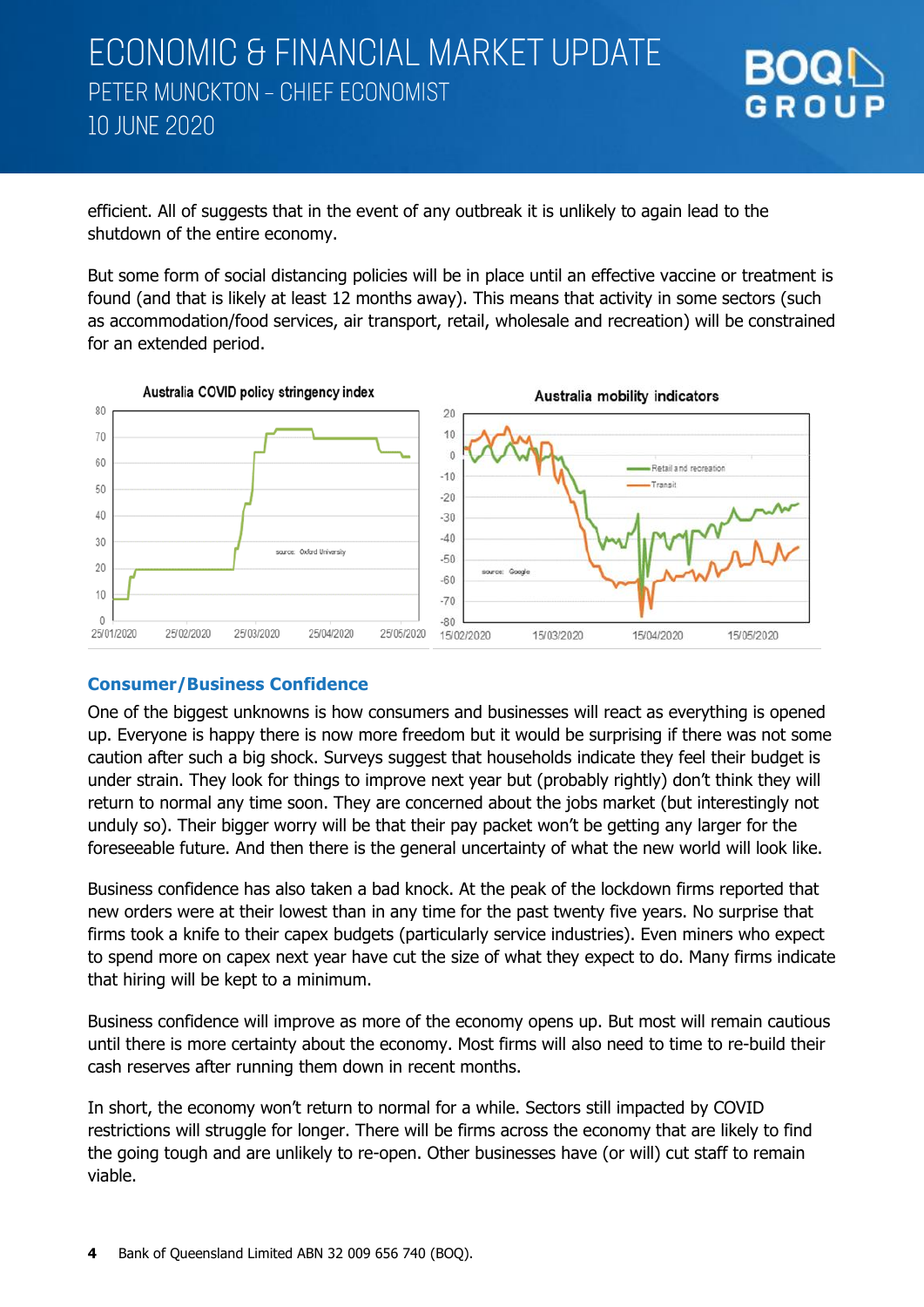

efficient. All of suggests that in the event of any outbreak it is unlikely to again lead to the shutdown of the entire economy.

But some form of social distancing policies will be in place until an effective vaccine or treatment is found (and that is likely at least 12 months away). This means that activity in some sectors (such as accommodation/food services, air transport, retail, wholesale and recreation) will be constrained for an extended period.



#### **Consumer/Business Confidence**

One of the biggest unknowns is how consumers and businesses will react as everything is opened up. Everyone is happy there is now more freedom but it would be surprising if there was not some caution after such a big shock. Surveys suggest that households indicate they feel their budget is under strain. They look for things to improve next year but (probably rightly) don't think they will return to normal any time soon. They are concerned about the jobs market (but interestingly not unduly so). Their bigger worry will be that their pay packet won't be getting any larger for the foreseeable future. And then there is the general uncertainty of what the new world will look like.

Business confidence has also taken a bad knock. At the peak of the lockdown firms reported that new orders were at their lowest than in any time for the past twenty five years. No surprise that firms took a knife to their capex budgets (particularly service industries). Even miners who expect to spend more on capex next year have cut the size of what they expect to do. Many firms indicate that hiring will be kept to a minimum.

Business confidence will improve as more of the economy opens up. But most will remain cautious until there is more certainty about the economy. Most firms will also need to time to re-build their cash reserves after running them down in recent months.

In short, the economy won't return to normal for a while. Sectors still impacted by COVID restrictions will struggle for longer. There will be firms across the economy that are likely to find the going tough and are unlikely to re-open. Other businesses have (or will) cut staff to remain viable.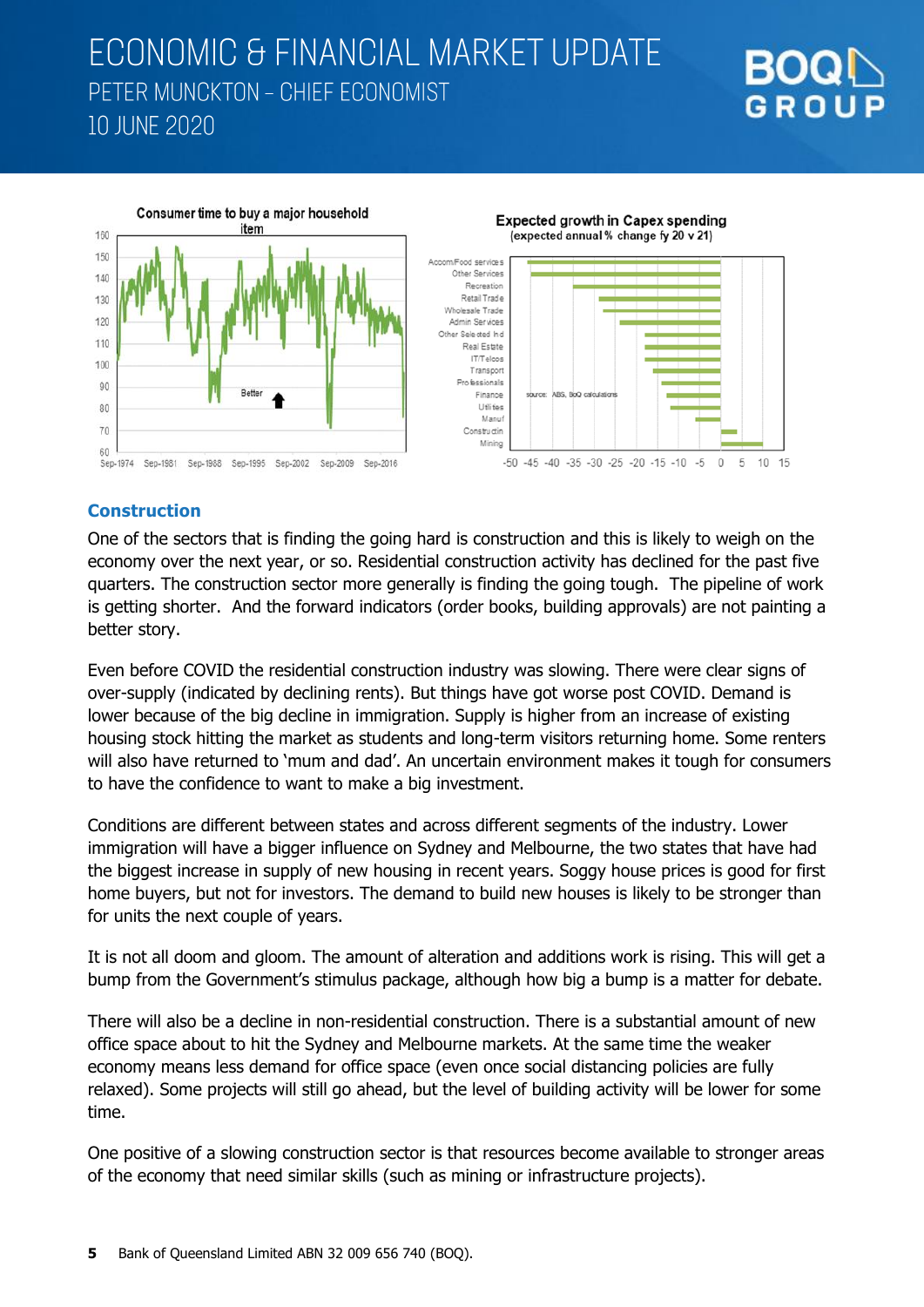



#### **Construction**

One of the sectors that is finding the going hard is construction and this is likely to weigh on the economy over the next year, or so. Residential construction activity has declined for the past five quarters. The construction sector more generally is finding the going tough. The pipeline of work is getting shorter. And the forward indicators (order books, building approvals) are not painting a better story.

Even before COVID the residential construction industry was slowing. There were clear signs of over-supply (indicated by declining rents). But things have got worse post COVID. Demand is lower because of the big decline in immigration. Supply is higher from an increase of existing housing stock hitting the market as students and long-term visitors returning home. Some renters will also have returned to 'mum and dad'. An uncertain environment makes it tough for consumers to have the confidence to want to make a big investment.

Conditions are different between states and across different segments of the industry. Lower immigration will have a bigger influence on Sydney and Melbourne, the two states that have had the biggest increase in supply of new housing in recent years. Soggy house prices is good for first home buyers, but not for investors. The demand to build new houses is likely to be stronger than for units the next couple of years.

It is not all doom and gloom. The amount of alteration and additions work is rising. This will get a bump from the Government's stimulus package, although how big a bump is a matter for debate.

There will also be a decline in non-residential construction. There is a substantial amount of new office space about to hit the Sydney and Melbourne markets. At the same time the weaker economy means less demand for office space (even once social distancing policies are fully relaxed). Some projects will still go ahead, but the level of building activity will be lower for some time.

One positive of a slowing construction sector is that resources become available to stronger areas of the economy that need similar skills (such as mining or infrastructure projects).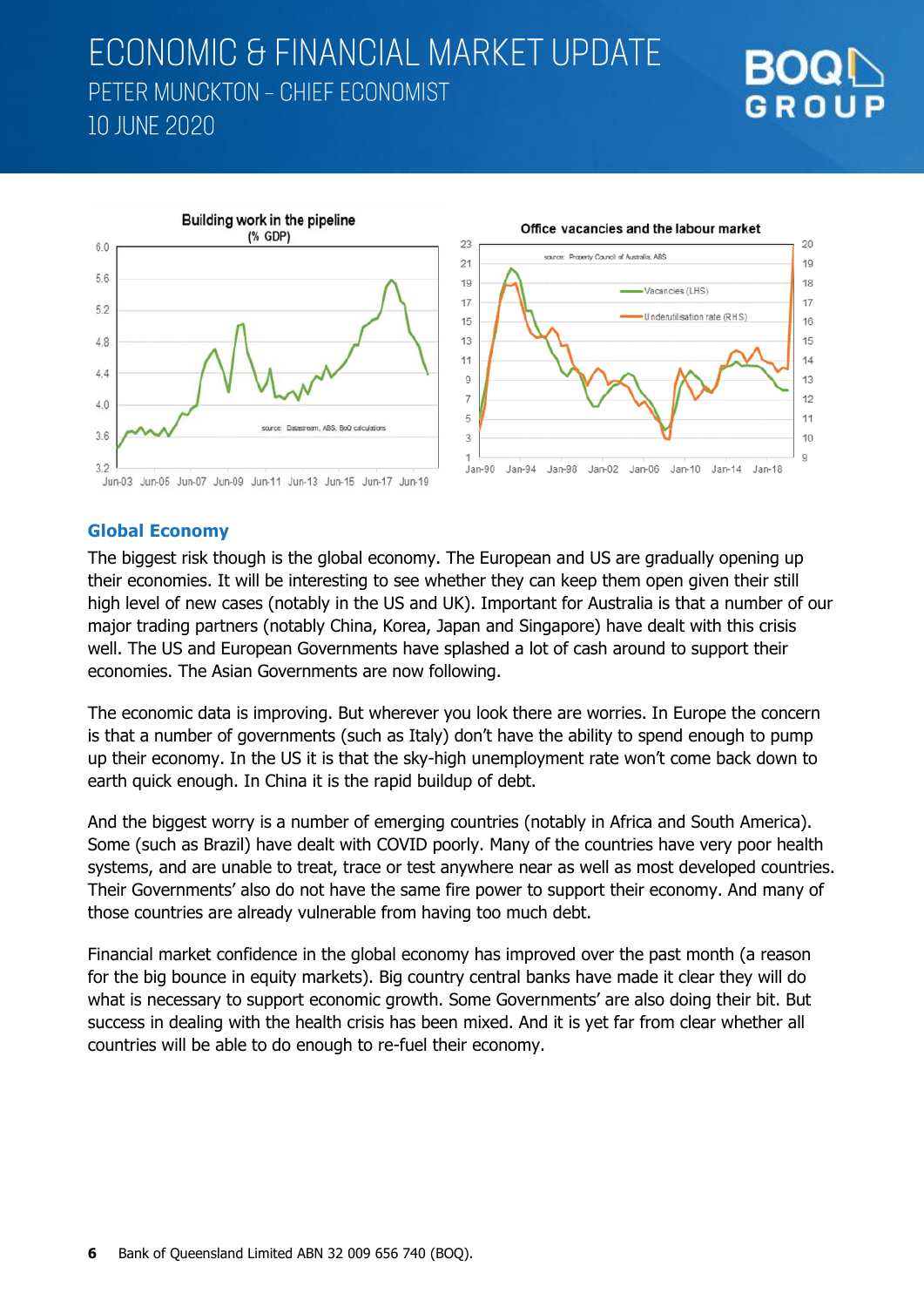





#### **Global Economy**

The biggest risk though is the global economy. The European and US are gradually opening up their economies. It will be interesting to see whether they can keep them open given their still high level of new cases (notably in the US and UK). Important for Australia is that a number of our major trading partners (notably China, Korea, Japan and Singapore) have dealt with this crisis well. The US and European Governments have splashed a lot of cash around to support their economies. The Asian Governments are now following.

The economic data is improving. But wherever you look there are worries. In Europe the concern is that a number of governments (such as Italy) don't have the ability to spend enough to pump up their economy. In the US it is that the sky-high unemployment rate won't come back down to earth quick enough. In China it is the rapid buildup of debt.

And the biggest worry is a number of emerging countries (notably in Africa and South America). Some (such as Brazil) have dealt with COVID poorly. Many of the countries have very poor health systems, and are unable to treat, trace or test anywhere near as well as most developed countries. Their Governments' also do not have the same fire power to support their economy. And many of those countries are already vulnerable from having too much debt.

Financial market confidence in the global economy has improved over the past month (a reason for the big bounce in equity markets). Big country central banks have made it clear they will do what is necessary to support economic growth. Some Governments' are also doing their bit. But success in dealing with the health crisis has been mixed. And it is yet far from clear whether all countries will be able to do enough to re-fuel their economy.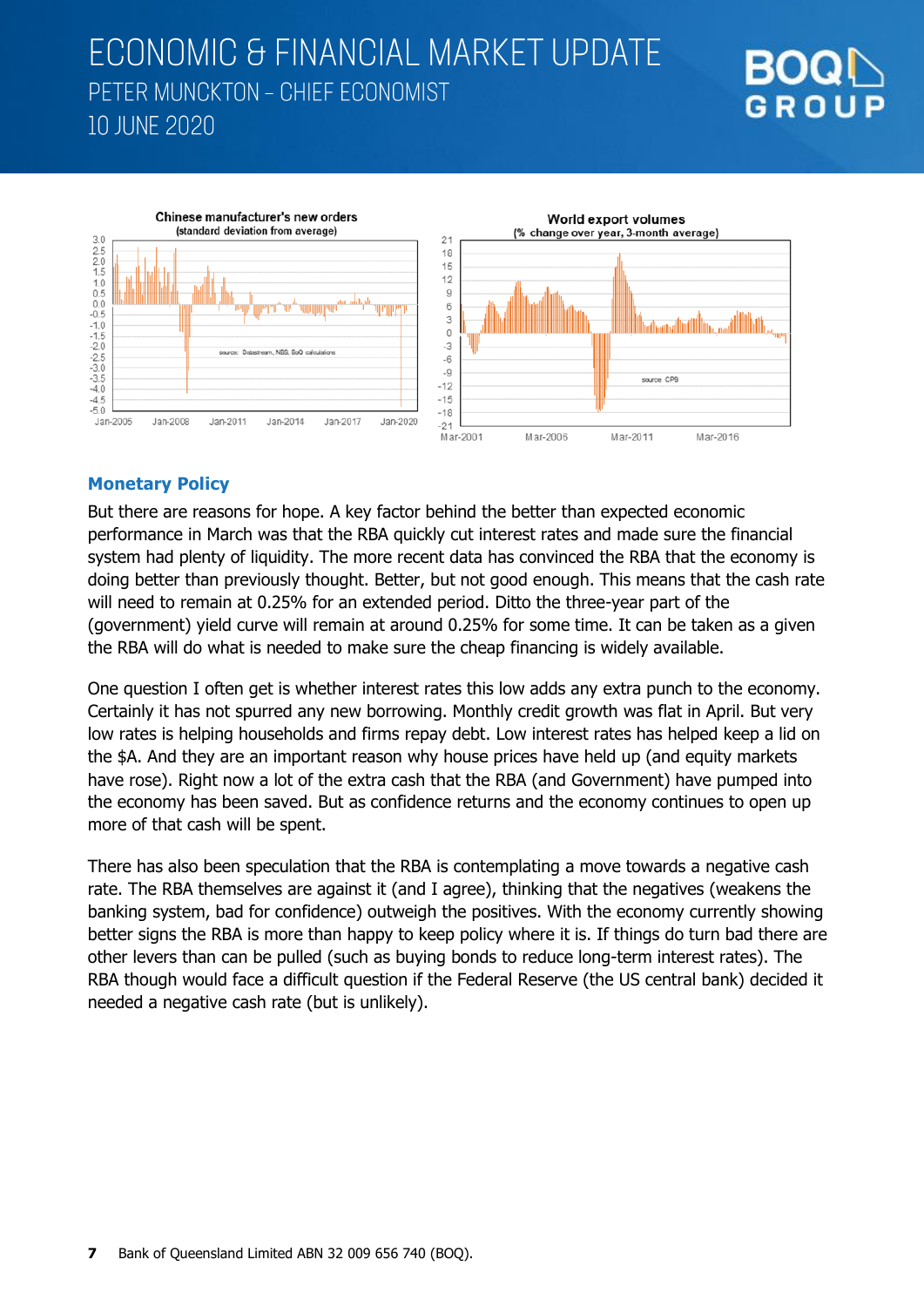





### **Monetary Policy**

But there are reasons for hope. A key factor behind the better than expected economic performance in March was that the RBA quickly cut interest rates and made sure the financial system had plenty of liquidity. The more recent data has convinced the RBA that the economy is doing better than previously thought. Better, but not good enough. This means that the cash rate will need to remain at 0.25% for an extended period. Ditto the three-year part of the (government) yield curve will remain at around 0.25% for some time. It can be taken as a given the RBA will do what is needed to make sure the cheap financing is widely available.

One question I often get is whether interest rates this low adds any extra punch to the economy. Certainly it has not spurred any new borrowing. Monthly credit growth was flat in April. But very low rates is helping households and firms repay debt. Low interest rates has helped keep a lid on the \$A. And they are an important reason why house prices have held up (and equity markets have rose). Right now a lot of the extra cash that the RBA (and Government) have pumped into the economy has been saved. But as confidence returns and the economy continues to open up more of that cash will be spent.

There has also been speculation that the RBA is contemplating a move towards a negative cash rate. The RBA themselves are against it (and I agree), thinking that the negatives (weakens the banking system, bad for confidence) outweigh the positives. With the economy currently showing better signs the RBA is more than happy to keep policy where it is. If things do turn bad there are other levers than can be pulled (such as buying bonds to reduce long-term interest rates). The RBA though would face a difficult question if the Federal Reserve (the US central bank) decided it needed a negative cash rate (but is unlikely).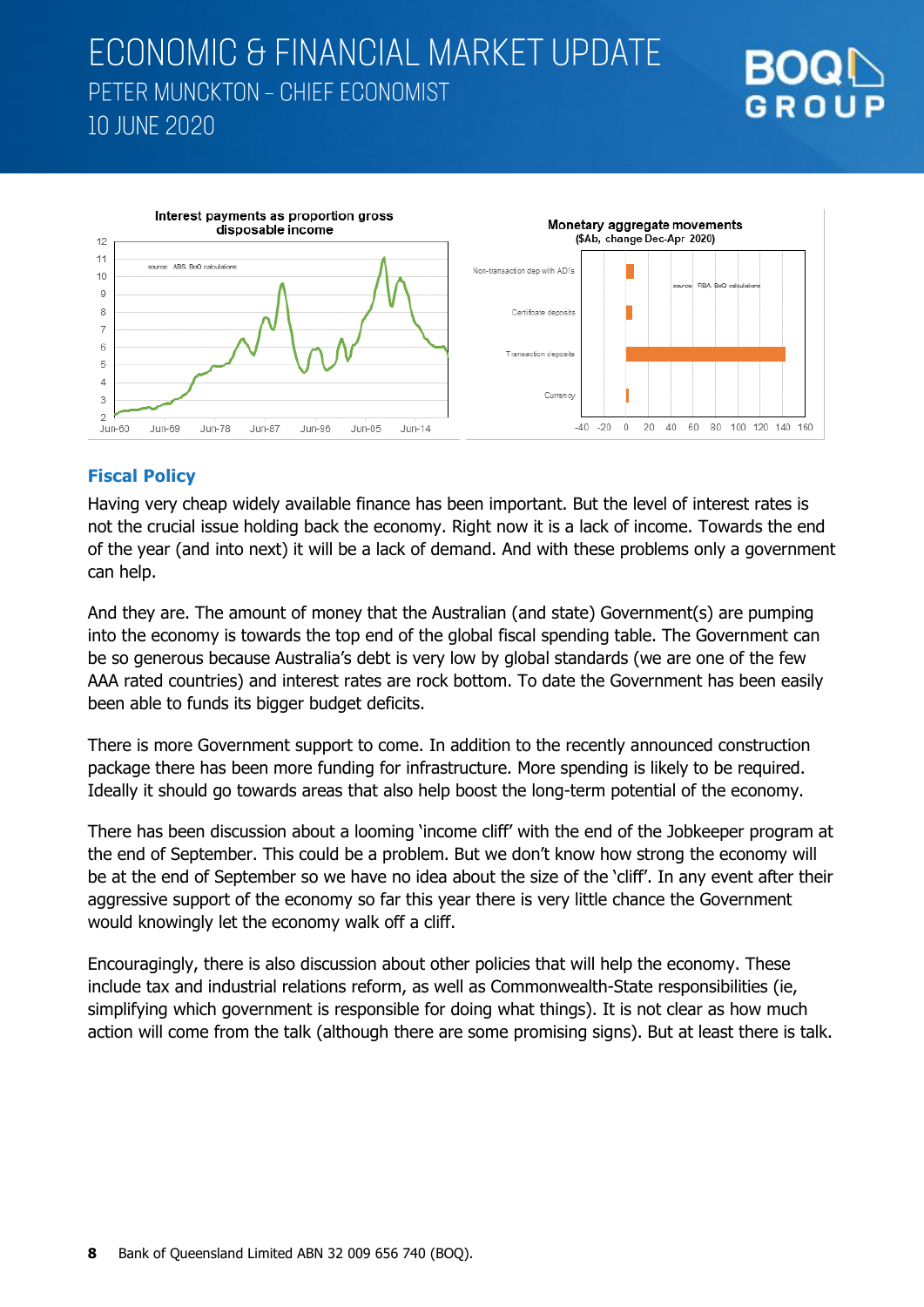



### **Fiscal Policy**

Having very cheap widely available finance has been important. But the level of interest rates is not the crucial issue holding back the economy. Right now it is a lack of income. Towards the end of the year (and into next) it will be a lack of demand. And with these problems only a government can help.

And they are. The amount of money that the Australian (and state) Government(s) are pumping into the economy is towards the top end of the global fiscal spending table. The Government can be so generous because Australia's debt is very low by global standards (we are one of the few AAA rated countries) and interest rates are rock bottom. To date the Government has been easily been able to funds its bigger budget deficits.

There is more Government support to come. In addition to the recently announced construction package there has been more funding for infrastructure. More spending is likely to be required. Ideally it should go towards areas that also help boost the long-term potential of the economy.

There has been discussion about a looming 'income cliff' with the end of the Jobkeeper program at the end of September. This could be a problem. But we don't know how strong the economy will be at the end of September so we have no idea about the size of the 'cliff'. In any event after their aggressive support of the economy so far this year there is very little chance the Government would knowingly let the economy walk off a cliff.

Encouragingly, there is also discussion about other policies that will help the economy. These include tax and industrial relations reform, as well as Commonwealth-State responsibilities (ie, simplifying which government is responsible for doing what things). It is not clear as how much action will come from the talk (although there are some promising signs). But at least there is talk.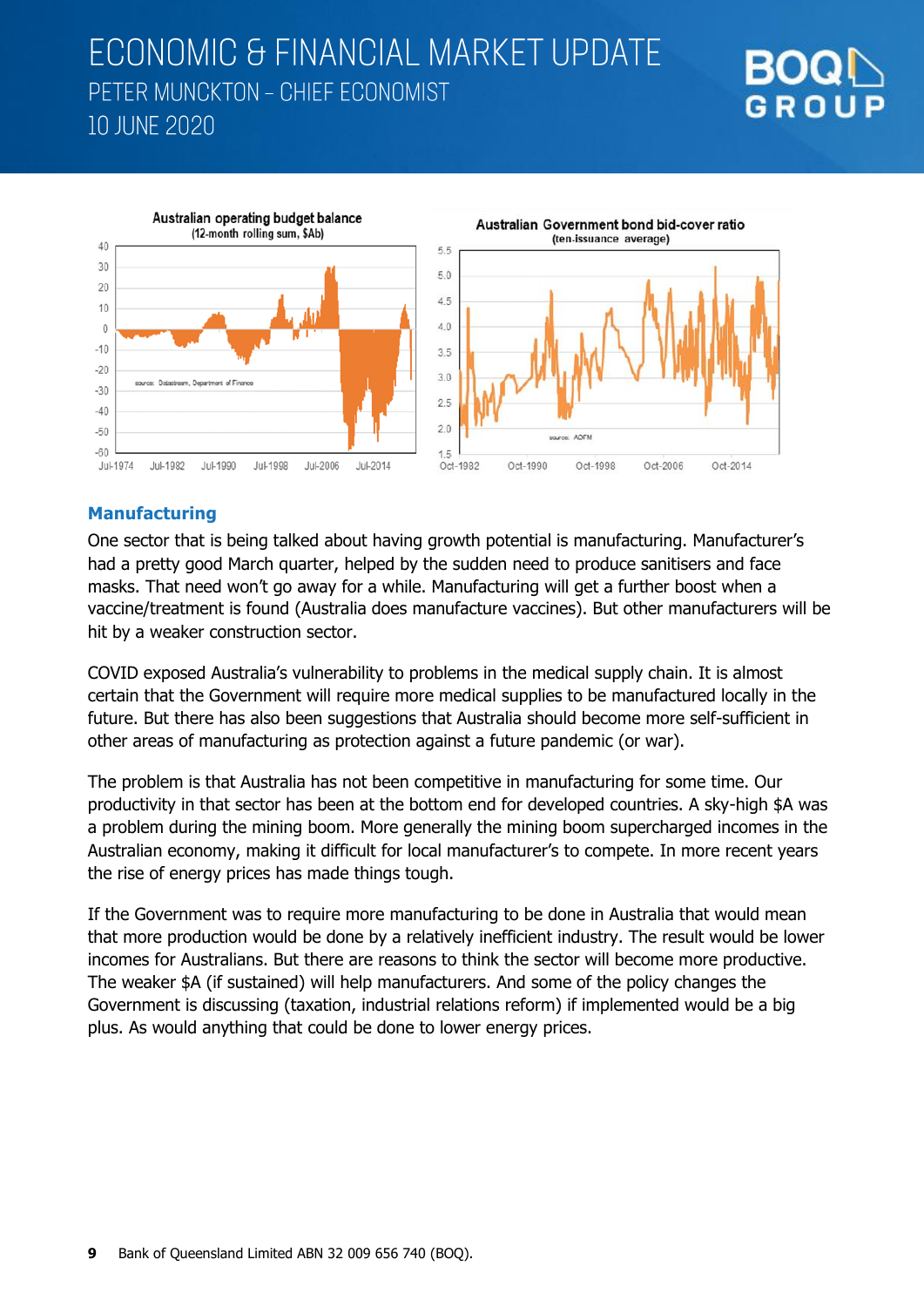



### **Manufacturing**

One sector that is being talked about having growth potential is manufacturing. Manufacturer's had a pretty good March quarter, helped by the sudden need to produce sanitisers and face masks. That need won't go away for a while. Manufacturing will get a further boost when a vaccine/treatment is found (Australia does manufacture vaccines). But other manufacturers will be hit by a weaker construction sector.

COVID exposed Australia's vulnerability to problems in the medical supply chain. It is almost certain that the Government will require more medical supplies to be manufactured locally in the future. But there has also been suggestions that Australia should become more self-sufficient in other areas of manufacturing as protection against a future pandemic (or war).

The problem is that Australia has not been competitive in manufacturing for some time. Our productivity in that sector has been at the bottom end for developed countries. A sky-high \$A was a problem during the mining boom. More generally the mining boom supercharged incomes in the Australian economy, making it difficult for local manufacturer's to compete. In more recent years the rise of energy prices has made things tough.

If the Government was to require more manufacturing to be done in Australia that would mean that more production would be done by a relatively inefficient industry. The result would be lower incomes for Australians. But there are reasons to think the sector will become more productive. The weaker \$A (if sustained) will help manufacturers. And some of the policy changes the Government is discussing (taxation, industrial relations reform) if implemented would be a big plus. As would anything that could be done to lower energy prices.